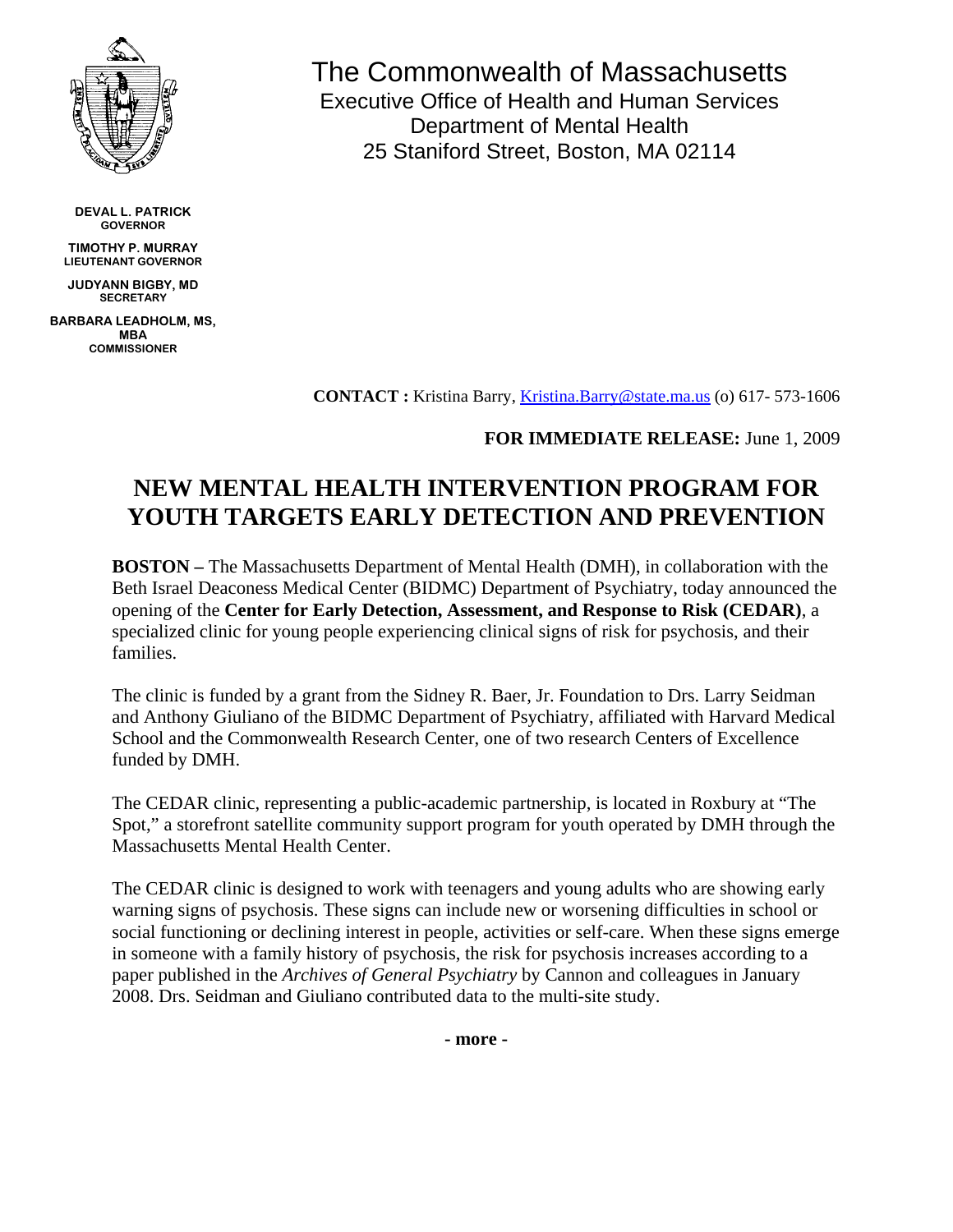

**DEVAL L. PATRICK GOVERNOR** 

**TIMOTHY P. MURRAY LIEUTENANT GOVERNOR** 

**JUDYANN BIGBY, MD SECRETARY** 

**BARBARA LEADHOLM, MS, MBA COMMISSIONER** 

The Commonwealth of Massachusetts Executive Office of Health and Human Services Department of Mental Health 25 Staniford Street, Boston, MA 02114

**CONTACT :** Kristina Barry, [Kristina.Barry@state.ma.us](mailto:Kristina.Barry@state.ma.us) (o) 617- 573-1606

## **FOR IMMEDIATE RELEASE:** June 1, 2009

## **NEW MENTAL HEALTH INTERVENTION PROGRAM FOR YOUTH TARGETS EARLY DETECTION AND PREVENTION**

**BOSTON –** The Massachusetts Department of Mental Health (DMH), in collaboration with the Beth Israel Deaconess Medical Center (BIDMC) Department of Psychiatry, today announced the opening of the **Center for Early Detection, Assessment, and Response to Risk (CEDAR)**, a specialized clinic for young people experiencing clinical signs of risk for psychosis, and their families.

The clinic is funded by a grant from the Sidney R. Baer, Jr. Foundation to Drs. Larry Seidman and Anthony Giuliano of the BIDMC Department of Psychiatry, affiliated with Harvard Medical School and the Commonwealth Research Center, one of two research Centers of Excellence funded by DMH.

The CEDAR clinic, representing a public-academic partnership, is located in Roxbury at "The Spot," a storefront satellite community support program for youth operated by DMH through the Massachusetts Mental Health Center.

The CEDAR clinic is designed to work with teenagers and young adults who are showing early warning signs of psychosis. These signs can include new or worsening difficulties in school or social functioning or declining interest in people, activities or self-care. When these signs emerge in someone with a family history of psychosis, the risk for psychosis increases according to a paper published in the *Archives of General Psychiatry* by Cannon and colleagues in January 2008. Drs. Seidman and Giuliano contributed data to the multi-site study.

**- more -**